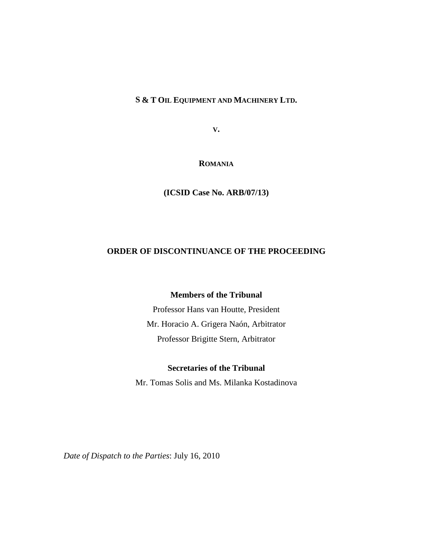**S & T OIL EQUIPMENT AND MACHINERY LTD.**

**V.**

**ROMANIA**

**(ICSID Case No. ARB/07/13)**

# **ORDER OF DISCONTINUANCE OF THE PROCEEDING**

### **Members of the Tribunal**

Professor Hans van Houtte, President Mr. Horacio A. Grigera Naón, Arbitrator Professor Brigitte Stern, Arbitrator

# **Secretaries of the Tribunal**

Mr. Tomas Solis and Ms. Milanka Kostadinova

*Date of Dispatch to the Parties*: July 16, 2010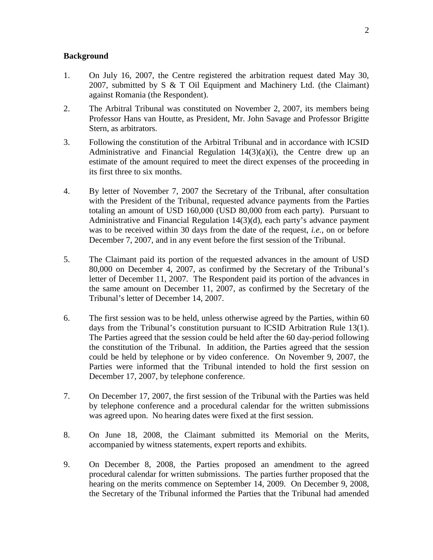### **Background**

- 1. On July 16, 2007, the Centre registered the arbitration request dated May 30, 2007, submitted by S & T Oil Equipment and Machinery Ltd. (the Claimant) against Romania (the Respondent).
- 2. The Arbitral Tribunal was constituted on November 2, 2007, its members being Professor Hans van Houtte, as President, Mr. John Savage and Professor Brigitte Stern, as arbitrators.
- 3. Following the constitution of the Arbitral Tribunal and in accordance with ICSID Administrative and Financial Regulation  $14(3)(a)(i)$ , the Centre drew up an estimate of the amount required to meet the direct expenses of the proceeding in its first three to six months.
- 4. By letter of November 7, 2007 the Secretary of the Tribunal, after consultation with the President of the Tribunal, requested advance payments from the Parties totaling an amount of USD 160,000 (USD 80,000 from each party). Pursuant to Administrative and Financial Regulation 14(3)(d), each party's advance payment was to be received within 30 days from the date of the request, *i.e.*, on or before December 7, 2007, and in any event before the first session of the Tribunal.
- 5. The Claimant paid its portion of the requested advances in the amount of USD 80,000 on December 4, 2007, as confirmed by the Secretary of the Tribunal's letter of December 11, 2007. The Respondent paid its portion of the advances in the same amount on December 11, 2007, as confirmed by the Secretary of the Tribunal's letter of December 14, 2007.
- 6. The first session was to be held, unless otherwise agreed by the Parties, within 60 days from the Tribunal's constitution pursuant to ICSID Arbitration Rule 13(1). The Parties agreed that the session could be held after the 60 day-period following the constitution of the Tribunal. In addition, the Parties agreed that the session could be held by telephone or by video conference. On November 9, 2007, the Parties were informed that the Tribunal intended to hold the first session on December 17, 2007, by telephone conference.
- 7. On December 17, 2007, the first session of the Tribunal with the Parties was held by telephone conference and a procedural calendar for the written submissions was agreed upon. No hearing dates were fixed at the first session.
- 8. On June 18, 2008, the Claimant submitted its Memorial on the Merits, accompanied by witness statements, expert reports and exhibits.
- 9. On December 8, 2008, the Parties proposed an amendment to the agreed procedural calendar for written submissions. The parties further proposed that the hearing on the merits commence on September 14, 2009. On December 9, 2008, the Secretary of the Tribunal informed the Parties that the Tribunal had amended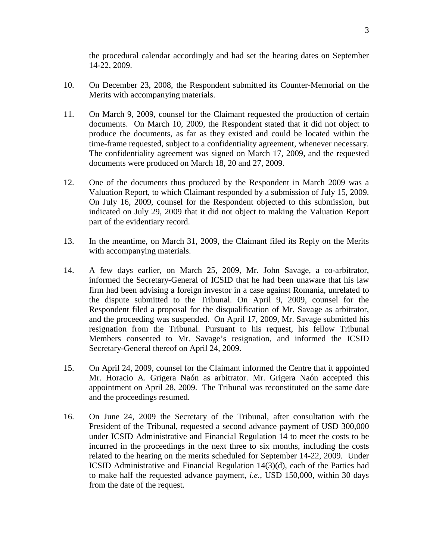the procedural calendar accordingly and had set the hearing dates on September 14-22, 2009.

- 10. On December 23, 2008, the Respondent submitted its Counter-Memorial on the Merits with accompanying materials.
- 11. On March 9, 2009, counsel for the Claimant requested the production of certain documents. On March 10, 2009, the Respondent stated that it did not object to produce the documents, as far as they existed and could be located within the time-frame requested, subject to a confidentiality agreement, whenever necessary. The confidentiality agreement was signed on March 17, 2009, and the requested documents were produced on March 18, 20 and 27, 2009.
- 12. One of the documents thus produced by the Respondent in March 2009 was a Valuation Report, to which Claimant responded by a submission of July 15, 2009. On July 16, 2009, counsel for the Respondent objected to this submission, but indicated on July 29, 2009 that it did not object to making the Valuation Report part of the evidentiary record.
- 13. In the meantime, on March 31, 2009, the Claimant filed its Reply on the Merits with accompanying materials.
- 14. A few days earlier, on March 25, 2009, Mr. John Savage, a co-arbitrator, informed the Secretary-General of ICSID that he had been unaware that his law firm had been advising a foreign investor in a case against Romania, unrelated to the dispute submitted to the Tribunal. On April 9, 2009, counsel for the Respondent filed a proposal for the disqualification of Mr. Savage as arbitrator, and the proceeding was suspended. On April 17, 2009, Mr. Savage submitted his resignation from the Tribunal. Pursuant to his request, his fellow Tribunal Members consented to Mr. Savage's resignation, and informed the ICSID Secretary-General thereof on April 24, 2009.
- 15. On April 24, 2009, counsel for the Claimant informed the Centre that it appointed Mr. Horacio A. Grigera Naón as arbitrator. Mr. Grigera Naón accepted this appointment on April 28, 2009. The Tribunal was reconstituted on the same date and the proceedings resumed.
- 16. On June 24, 2009 the Secretary of the Tribunal, after consultation with the President of the Tribunal, requested a second advance payment of USD 300,000 under ICSID Administrative and Financial Regulation 14 to meet the costs to be incurred in the proceedings in the next three to six months, including the costs related to the hearing on the merits scheduled for September 14-22, 2009. Under ICSID Administrative and Financial Regulation 14(3)(d), each of the Parties had to make half the requested advance payment, *i.e.*, USD 150,000, within 30 days from the date of the request.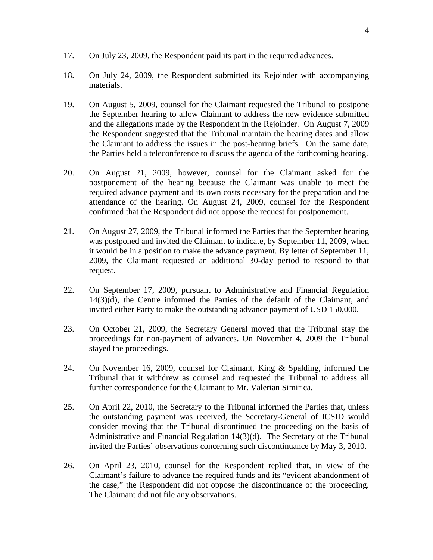- 17. On July 23, 2009, the Respondent paid its part in the required advances.
- 18. On July 24, 2009, the Respondent submitted its Rejoinder with accompanying materials.
- 19. On August 5, 2009, counsel for the Claimant requested the Tribunal to postpone the September hearing to allow Claimant to address the new evidence submitted and the allegations made by the Respondent in the Rejoinder. On August 7, 2009 the Respondent suggested that the Tribunal maintain the hearing dates and allow the Claimant to address the issues in the post-hearing briefs. On the same date, the Parties held a teleconference to discuss the agenda of the forthcoming hearing.
- 20. On August 21, 2009, however, counsel for the Claimant asked for the postponement of the hearing because the Claimant was unable to meet the required advance payment and its own costs necessary for the preparation and the attendance of the hearing. On August 24, 2009, counsel for the Respondent confirmed that the Respondent did not oppose the request for postponement.
- 21. On August 27, 2009, the Tribunal informed the Parties that the September hearing was postponed and invited the Claimant to indicate, by September 11, 2009, when it would be in a position to make the advance payment. By letter of September 11, 2009, the Claimant requested an additional 30-day period to respond to that request.
- 22. On September 17, 2009, pursuant to Administrative and Financial Regulation 14(3)(d), the Centre informed the Parties of the default of the Claimant, and invited either Party to make the outstanding advance payment of USD 150,000.
- 23. On October 21, 2009, the Secretary General moved that the Tribunal stay the proceedings for non-payment of advances. On November 4, 2009 the Tribunal stayed the proceedings.
- 24. On November 16, 2009, counsel for Claimant, King & Spalding, informed the Tribunal that it withdrew as counsel and requested the Tribunal to address all further correspondence for the Claimant to Mr. Valerian Simirica.
- 25. On April 22, 2010, the Secretary to the Tribunal informed the Parties that, unless the outstanding payment was received, the Secretary-General of ICSID would consider moving that the Tribunal discontinued the proceeding on the basis of Administrative and Financial Regulation 14(3)(d). The Secretary of the Tribunal invited the Parties' observations concerning such discontinuance by May 3, 2010.
- 26. On April 23, 2010, counsel for the Respondent replied that, in view of the Claimant's failure to advance the required funds and its "evident abandonment of the case," the Respondent did not oppose the discontinuance of the proceeding. The Claimant did not file any observations.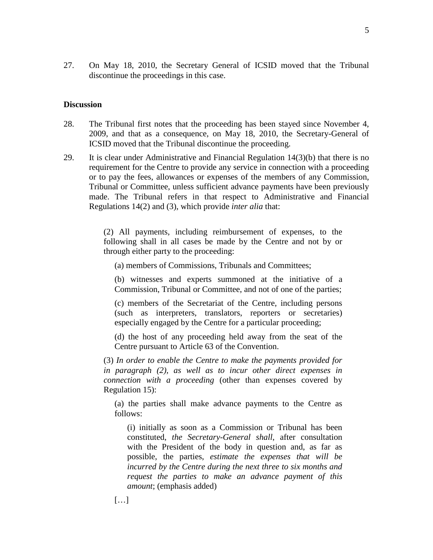27. On May 18, 2010, the Secretary General of ICSID moved that the Tribunal discontinue the proceedings in this case.

### **Discussion**

- 28. The Tribunal first notes that the proceeding has been stayed since November 4, 2009, and that as a consequence, on May 18, 2010, the Secretary-General of ICSID moved that the Tribunal discontinue the proceeding.
- 29. It is clear under Administrative and Financial Regulation 14(3)(b) that there is no requirement for the Centre to provide any service in connection with a proceeding or to pay the fees, allowances or expenses of the members of any Commission, Tribunal or Committee, unless sufficient advance payments have been previously made. The Tribunal refers in that respect to Administrative and Financial Regulations 14(2) and (3), which provide *inter alia* that:

(2) All payments, including reimbursement of expenses, to the following shall in all cases be made by the Centre and not by or through either party to the proceeding:

(a) members of Commissions, Tribunals and Committees;

(b) witnesses and experts summoned at the initiative of a Commission, Tribunal or Committee, and not of one of the parties;

(c) members of the Secretariat of the Centre, including persons (such as interpreters, translators, reporters or secretaries) especially engaged by the Centre for a particular proceeding;

(d) the host of any proceeding held away from the seat of the Centre pursuant to Article 63 of the Convention.

(3) *In order to enable the Centre to make the payments provided for in paragraph (2), as well as to incur other direct expenses in connection with a proceeding* (other than expenses covered by Regulation 15):

(a) the parties shall make advance payments to the Centre as follows:

(i) initially as soon as a Commission or Tribunal has been constituted, *the Secretary-General shall*, after consultation with the President of the body in question and, as far as possible, the parties, *estimate the expenses that will be incurred by the Centre during the next three to six months and request the parties to make an advance payment of this amount*; (emphasis added)

 $[...]$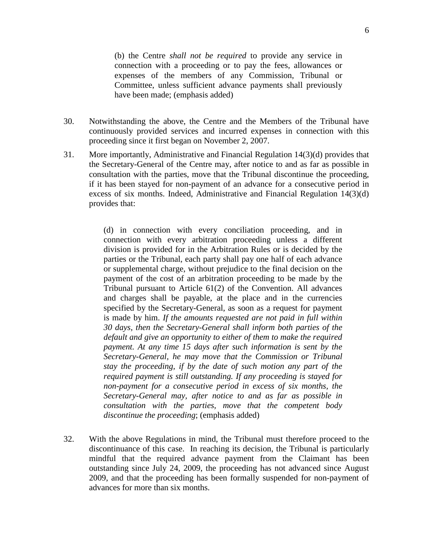(b) the Centre *shall not be required* to provide any service in connection with a proceeding or to pay the fees, allowances or expenses of the members of any Commission, Tribunal or Committee, unless sufficient advance payments shall previously have been made; (emphasis added)

- 30. Notwithstanding the above, the Centre and the Members of the Tribunal have continuously provided services and incurred expenses in connection with this proceeding since it first began on November 2, 2007.
- 31. More importantly, Administrative and Financial Regulation 14(3)(d) provides that the Secretary-General of the Centre may, after notice to and as far as possible in consultation with the parties, move that the Tribunal discontinue the proceeding, if it has been stayed for non-payment of an advance for a consecutive period in excess of six months. Indeed, Administrative and Financial Regulation 14(3)(d) provides that:

(d) in connection with every conciliation proceeding, and in connection with every arbitration proceeding unless a different division is provided for in the Arbitration Rules or is decided by the parties or the Tribunal, each party shall pay one half of each advance or supplemental charge, without prejudice to the final decision on the payment of the cost of an arbitration proceeding to be made by the Tribunal pursuant to Article 61(2) of the Convention. All advances and charges shall be payable, at the place and in the currencies specified by the Secretary-General, as soon as a request for payment is made by him. *If the amounts requested are not paid in full within 30 days, then the Secretary-General shall inform both parties of the default and give an opportunity to either of them to make the required payment. At any time 15 days after such information is sent by the Secretary-General, he may move that the Commission or Tribunal stay the proceeding, if by the date of such motion any part of the required payment is still outstanding. If any proceeding is stayed for non-payment for a consecutive period in excess of six months, the Secretary-General may, after notice to and as far as possible in consultation with the parties, move that the competent body discontinue the proceeding*; (emphasis added)

32. With the above Regulations in mind, the Tribunal must therefore proceed to the discontinuance of this case. In reaching its decision, the Tribunal is particularly mindful that the required advance payment from the Claimant has been outstanding since July 24, 2009, the proceeding has not advanced since August 2009, and that the proceeding has been formally suspended for non-payment of advances for more than six months.